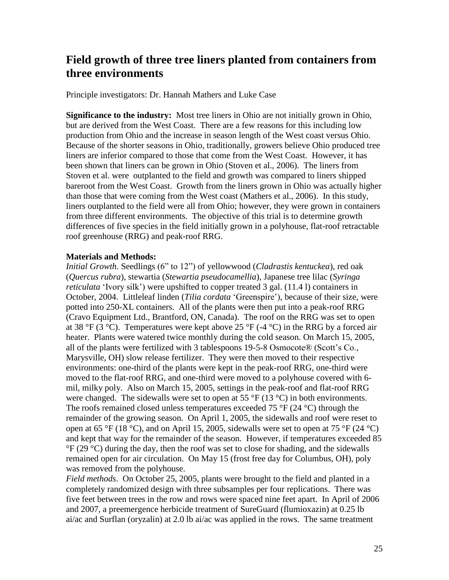## **Field growth of three tree liners planted from containers from three environments**

Principle investigators: Dr. Hannah Mathers and Luke Case

**Significance to the industry:** Most tree liners in Ohio are not initially grown in Ohio, but are derived from the West Coast. There are a few reasons for this including low production from Ohio and the increase in season length of the West coast versus Ohio. Because of the shorter seasons in Ohio, traditionally, growers believe Ohio produced tree liners are inferior compared to those that come from the West Coast. However, it has been shown that liners can be grown in Ohio (Stoven et al., 2006). The liners from Stoven et al. were outplanted to the field and growth was compared to liners shipped bareroot from the West Coast. Growth from the liners grown in Ohio was actually higher than those that were coming from the West coast (Mathers et al., 2006). In this study, liners outplanted to the field were all from Ohio; however, they were grown in containers from three different environments. The objective of this trial is to determine growth differences of five species in the field initially grown in a polyhouse, flat-roof retractable roof greenhouse (RRG) and peak-roof RRG.

## **Materials and Methods:**

*Initial Growth*. Seedlings (6" to 12") of yellowwood (*Cladrastis kentuckea*), red oak (*Quercus rubra*), stewartia (*Stewartia pseudocamellia*), Japanese tree lilac (*Syringa reticulata* 'Ivory silk') were upshifted to copper treated 3 gal. (11.4 l) containers in October, 2004. Littleleaf linden (*Tilia cordata* 'Greenspire'), because of their size, were potted into 250-XL containers. All of the plants were then put into a peak-roof RRG (Cravo Equipment Ltd., Brantford, ON, Canada). The roof on the RRG was set to open at 38 °F (3 °C). Temperatures were kept above 25 °F (-4 °C) in the RRG by a forced air heater. Plants were watered twice monthly during the cold season. On March 15, 2005, all of the plants were fertilized with 3 tablespoons 19-5-8 Osmocote® (Scott's Co., Marysville, OH) slow release fertilizer. They were then moved to their respective environments: one-third of the plants were kept in the peak-roof RRG, one-third were moved to the flat-roof RRG, and one-third were moved to a polyhouse covered with 6 mil, milky poly.Also on March 15, 2005, settings in the peak-roof and flat-roof RRG were changed. The sidewalls were set to open at 55  $\mathrm{P}F(13 \mathrm{°C})$  in both environments. The roofs remained closed unless temperatures exceeded 75  $\degree$ F (24  $\degree$ C) through the remainder of the growing season. On April 1, 2005, the sidewalls and roof were reset to open at 65 °F (18 °C), and on April 15, 2005, sidewalls were set to open at 75 °F (24 °C) and kept that way for the remainder of the season. However, if temperatures exceeded 85  $\rm{°F}$  (29  $\rm{°C}$ ) during the day, then the roof was set to close for shading, and the sidewalls remained open for air circulation. On May 15 (frost free day for Columbus, OH), poly was removed from the polyhouse.

*Field methods*. On October 25, 2005, plants were brought to the field and planted in a completely randomized design with three subsamples per four replications. There was five feet between trees in the row and rows were spaced nine feet apart. In April of 2006 and 2007, a preemergence herbicide treatment of SureGuard (flumioxazin) at 0.25 lb ai/ac and Surflan (oryzalin) at 2.0 lb ai/ac was applied in the rows. The same treatment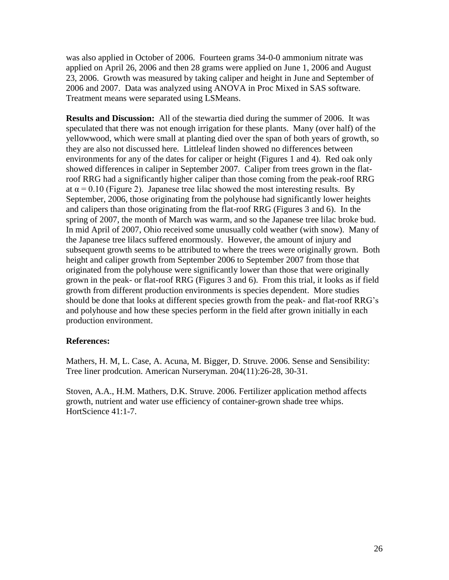was also applied in October of 2006. Fourteen grams 34-0-0 ammonium nitrate was applied on April 26, 2006 and then 28 grams were applied on June 1, 2006 and August 23, 2006. Growth was measured by taking caliper and height in June and September of 2006 and 2007. Data was analyzed using ANOVA in Proc Mixed in SAS software. Treatment means were separated using LSMeans.

**Results and Discussion:** All of the stewartia died during the summer of 2006. It was speculated that there was not enough irrigation for these plants. Many (over half) of the yellowwood, which were small at planting died over the span of both years of growth, so they are also not discussed here. Littleleaf linden showed no differences between environments for any of the dates for caliper or height (Figures 1 and 4). Red oak only showed differences in caliper in September 2007. Caliper from trees grown in the flatroof RRG had a significantly higher caliper than those coming from the peak-roof RRG at  $\alpha$  = 0.10 (Figure 2). Japanese tree lilac showed the most interesting results. By September, 2006, those originating from the polyhouse had significantly lower heights and calipers than those originating from the flat-roof RRG (Figures 3 and 6). In the spring of 2007, the month of March was warm, and so the Japanese tree lilac broke bud. In mid April of 2007, Ohio received some unusually cold weather (with snow). Many of the Japanese tree lilacs suffered enormously. However, the amount of injury and subsequent growth seems to be attributed to where the trees were originally grown. Both height and caliper growth from September 2006 to September 2007 from those that originated from the polyhouse were significantly lower than those that were originally grown in the peak- or flat-roof RRG (Figures 3 and 6). From this trial, it looks as if field growth from different production environments is species dependent. More studies should be done that looks at different species growth from the peak- and flat-roof RRG's and polyhouse and how these species perform in the field after grown initially in each production environment.

## **References:**

Mathers, H. M, L. Case, A. Acuna, M. Bigger, D. Struve. 2006. Sense and Sensibility: Tree liner prodcution. American Nurseryman. 204(11):26-28, 30-31.

Stoven, A.A., H.M. Mathers, D.K. Struve. 2006. Fertilizer application method affects growth, nutrient and water use efficiency of container-grown shade tree whips. HortScience 41:1-7.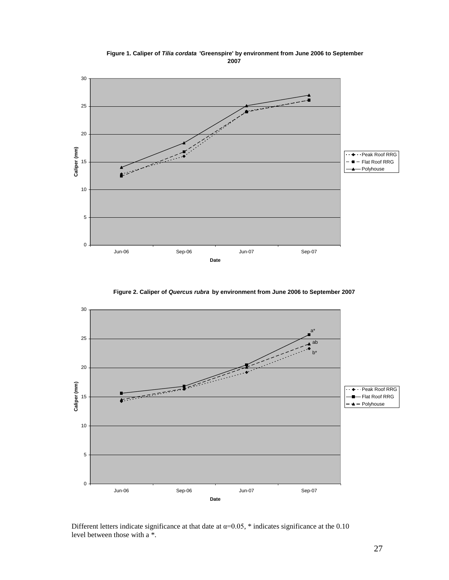

 **Figure 1. Caliper of** *Tilia cordata* **'Greenspire' by environment from June 2006 to September 2007**

**Figure 2. Caliper of** *Quercus rubra* **by environment from June 2006 to September 2007**



Different letters indicate significance at that date at  $\alpha=0.05$ , \* indicates significance at the 0.10 level between those with a \*.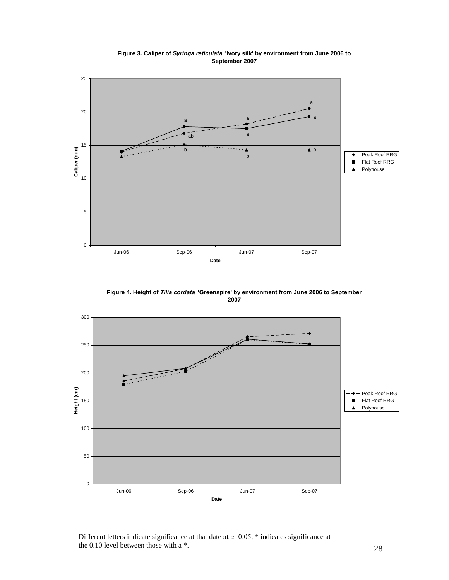

**Figure 3. Caliper of** *Syringa reticulata* **'Ivory silk' by environment from June 2006 to September 2007**

**Figure 4. Height of** *Tilia cordata* **'Greenspire' by environment from June 2006 to September 2007**



Different letters indicate significance at that date at  $\alpha=0.05$ , \* indicates significance at the 0.10 level between those with a \*.